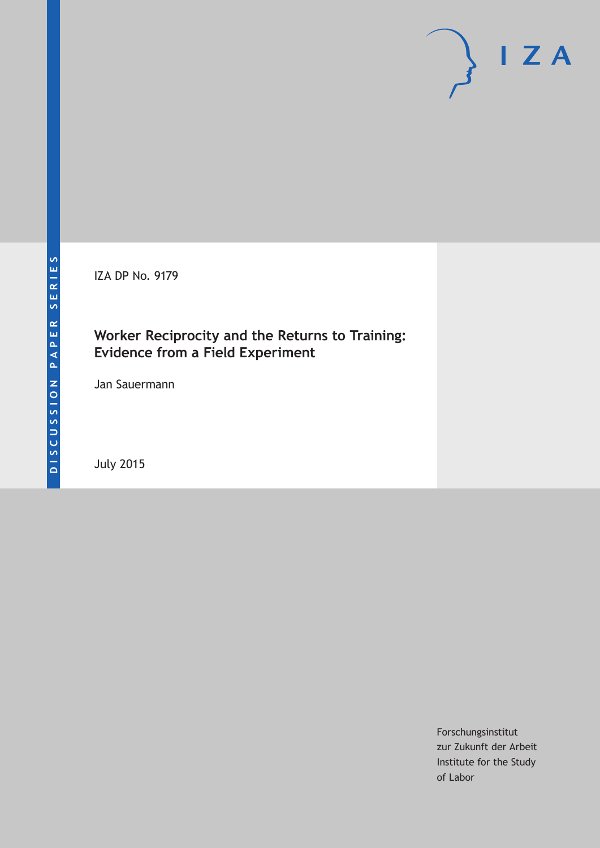IZA DP No. 9179

# **Worker Reciprocity and the Returns to Training: Evidence from a Field Experiment**

Jan Sauermann

July 2015

Forschungsinstitut zur Zukunft der Arbeit Institute for the Study of Labor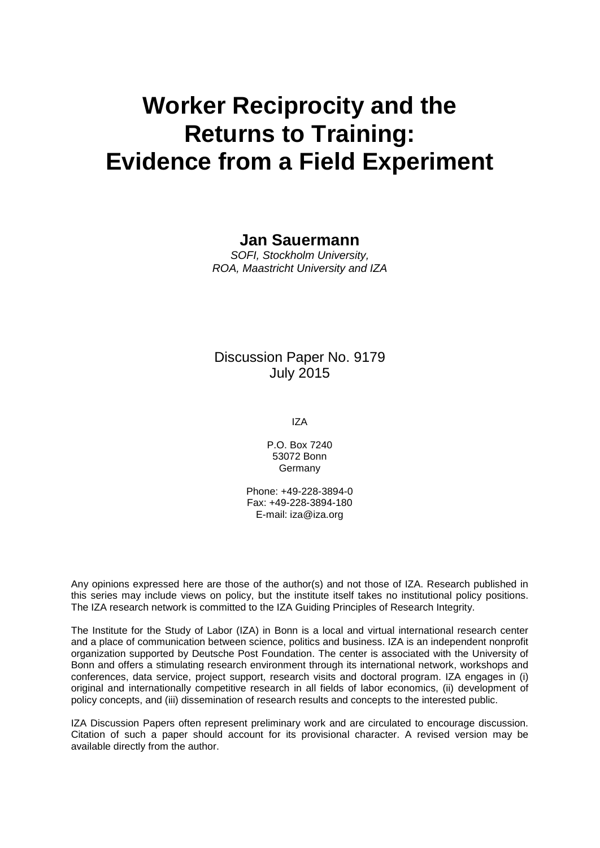# **Worker Reciprocity and the Returns to Training: Evidence from a Field Experiment**

### **Jan Sauermann**

*SOFI, Stockholm University, ROA, Maastricht University and IZA*

## Discussion Paper No. 9179 July 2015

IZA

P.O. Box 7240 53072 Bonn **Germany** 

Phone: +49-228-3894-0 Fax: +49-228-3894-180 E-mail: iza@iza.org

Any opinions expressed here are those of the author(s) and not those of IZA. Research published in this series may include views on policy, but the institute itself takes no institutional policy positions. The IZA research network is committed to the IZA Guiding Principles of Research Integrity.

The Institute for the Study of Labor (IZA) in Bonn is a local and virtual international research center and a place of communication between science, politics and business. IZA is an independent nonprofit organization supported by Deutsche Post Foundation. The center is associated with the University of Bonn and offers a stimulating research environment through its international network, workshops and conferences, data service, project support, research visits and doctoral program. IZA engages in (i) original and internationally competitive research in all fields of labor economics, (ii) development of policy concepts, and (iii) dissemination of research results and concepts to the interested public.

<span id="page-1-0"></span>IZA Discussion Papers often represent preliminary work and are circulated to encourage discussion. Citation of such a paper should account for its provisional character. A revised version may be available directly from the author.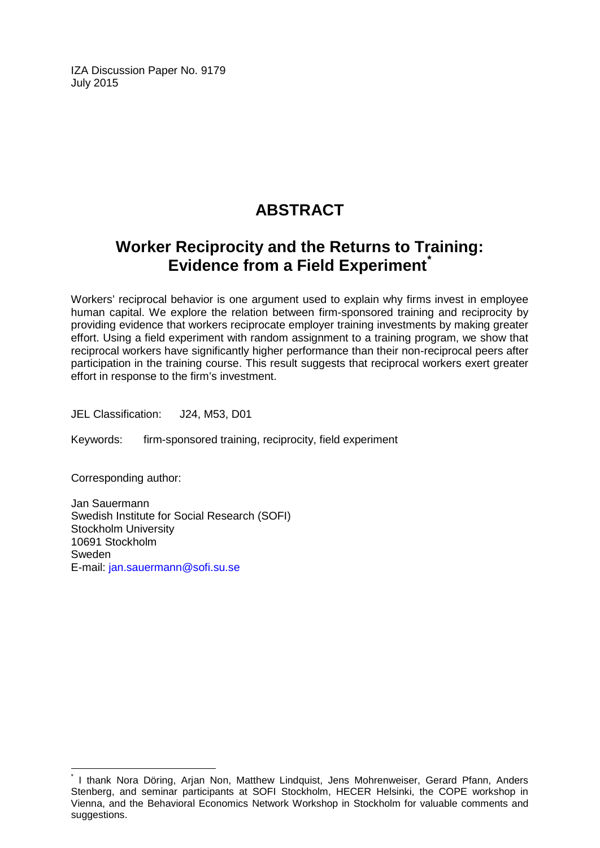IZA Discussion Paper No. 9179 July 2015

# **ABSTRACT**

# **Worker Reciprocity and the Returns to Training: Evidence from a Field Experiment[\\*](#page-1-0)**

Workers' reciprocal behavior is one argument used to explain why firms invest in employee human capital. We explore the relation between firm-sponsored training and reciprocity by providing evidence that workers reciprocate employer training investments by making greater effort. Using a field experiment with random assignment to a training program, we show that reciprocal workers have significantly higher performance than their non-reciprocal peers after participation in the training course. This result suggests that reciprocal workers exert greater effort in response to the firm's investment.

JEL Classification: J24, M53, D01

Keywords: firm-sponsored training, reciprocity, field experiment

Corresponding author:

Jan Sauermann Swedish Institute for Social Research (SOFI) Stockholm University 10691 Stockholm Sweden E-mail: [jan.sauermann@sofi.su.se](mailto:jan.sauermann@sofi.su.se)

I thank Nora Döring, Arjan Non, Matthew Lindquist, Jens Mohrenweiser, Gerard Pfann, Anders Stenberg, and seminar participants at SOFI Stockholm, HECER Helsinki, the COPE workshop in Vienna, and the Behavioral Economics Network Workshop in Stockholm for valuable comments and suggestions.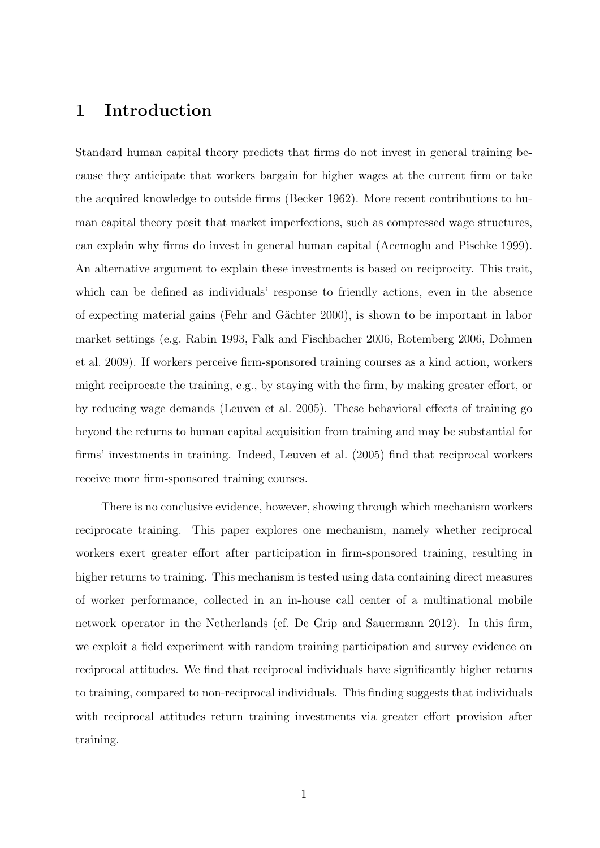# 1 Introduction

Standard human capital theory predicts that firms do not invest in general training because they anticipate that workers bargain for higher wages at the current firm or take the acquired knowledge to outside firms (Becker 1962). More recent contributions to human capital theory posit that market imperfections, such as compressed wage structures, can explain why firms do invest in general human capital (Acemoglu and Pischke 1999). An alternative argument to explain these investments is based on reciprocity. This trait, which can be defined as individuals' response to friendly actions, even in the absence of expecting material gains (Fehr and G¨achter 2000), is shown to be important in labor market settings (e.g. Rabin 1993, Falk and Fischbacher 2006, Rotemberg 2006, Dohmen et al. 2009). If workers perceive firm-sponsored training courses as a kind action, workers might reciprocate the training, e.g., by staying with the firm, by making greater effort, or by reducing wage demands (Leuven et al. 2005). These behavioral effects of training go beyond the returns to human capital acquisition from training and may be substantial for firms' investments in training. Indeed, Leuven et al. (2005) find that reciprocal workers receive more firm-sponsored training courses.

There is no conclusive evidence, however, showing through which mechanism workers reciprocate training. This paper explores one mechanism, namely whether reciprocal workers exert greater effort after participation in firm-sponsored training, resulting in higher returns to training. This mechanism is tested using data containing direct measures of worker performance, collected in an in-house call center of a multinational mobile network operator in the Netherlands (cf. De Grip and Sauermann 2012). In this firm, we exploit a field experiment with random training participation and survey evidence on reciprocal attitudes. We find that reciprocal individuals have significantly higher returns to training, compared to non-reciprocal individuals. This finding suggests that individuals with reciprocal attitudes return training investments via greater effort provision after training.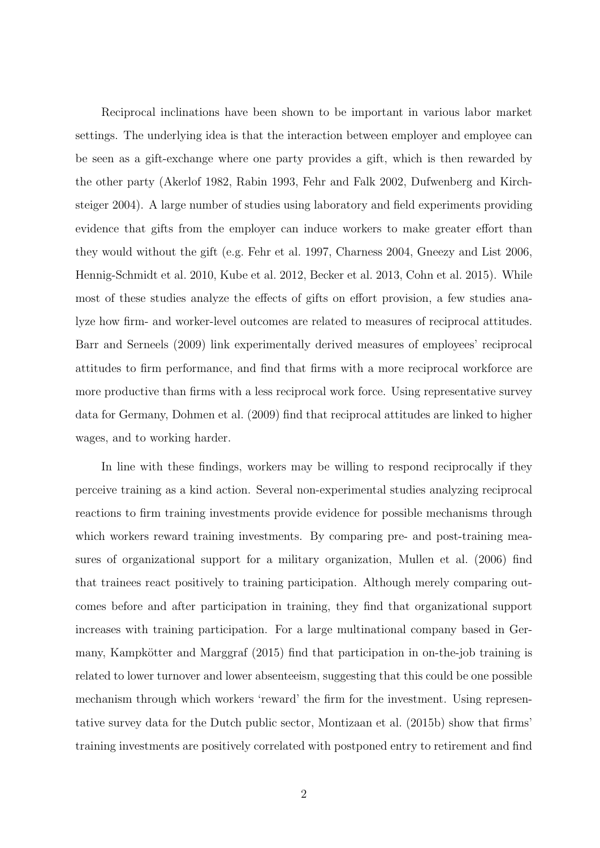Reciprocal inclinations have been shown to be important in various labor market settings. The underlying idea is that the interaction between employer and employee can be seen as a gift-exchange where one party provides a gift, which is then rewarded by the other party (Akerlof 1982, Rabin 1993, Fehr and Falk 2002, Dufwenberg and Kirchsteiger 2004). A large number of studies using laboratory and field experiments providing evidence that gifts from the employer can induce workers to make greater effort than they would without the gift (e.g. Fehr et al. 1997, Charness 2004, Gneezy and List 2006, Hennig-Schmidt et al. 2010, Kube et al. 2012, Becker et al. 2013, Cohn et al. 2015). While most of these studies analyze the effects of gifts on effort provision, a few studies analyze how firm- and worker-level outcomes are related to measures of reciprocal attitudes. Barr and Serneels (2009) link experimentally derived measures of employees' reciprocal attitudes to firm performance, and find that firms with a more reciprocal workforce are more productive than firms with a less reciprocal work force. Using representative survey data for Germany, Dohmen et al. (2009) find that reciprocal attitudes are linked to higher wages, and to working harder.

In line with these findings, workers may be willing to respond reciprocally if they perceive training as a kind action. Several non-experimental studies analyzing reciprocal reactions to firm training investments provide evidence for possible mechanisms through which workers reward training investments. By comparing pre- and post-training measures of organizational support for a military organization, Mullen et al. (2006) find that trainees react positively to training participation. Although merely comparing outcomes before and after participation in training, they find that organizational support increases with training participation. For a large multinational company based in Germany, Kampkötter and Marggraf (2015) find that participation in on-the-job training is related to lower turnover and lower absenteeism, suggesting that this could be one possible mechanism through which workers 'reward' the firm for the investment. Using representative survey data for the Dutch public sector, Montizaan et al. (2015b) show that firms' training investments are positively correlated with postponed entry to retirement and find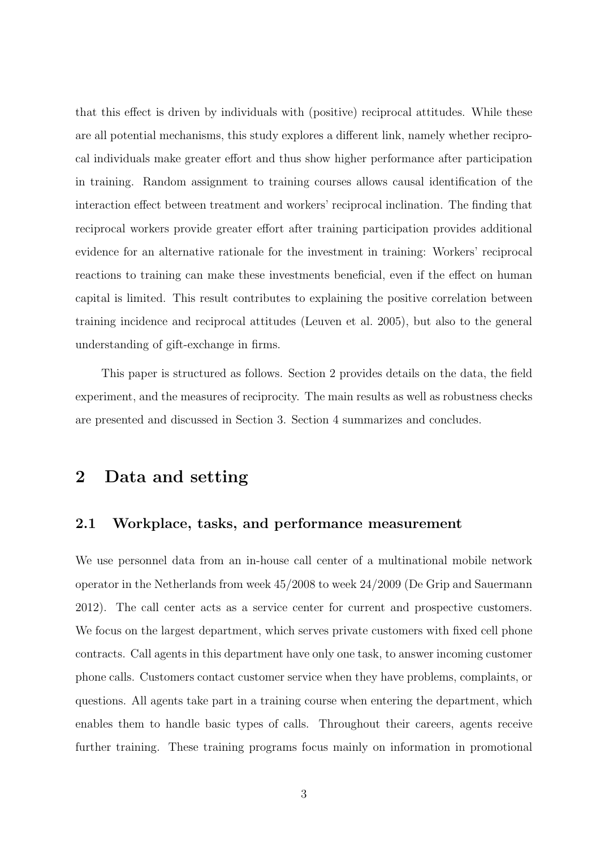that this effect is driven by individuals with (positive) reciprocal attitudes. While these are all potential mechanisms, this study explores a different link, namely whether reciprocal individuals make greater effort and thus show higher performance after participation in training. Random assignment to training courses allows causal identification of the interaction effect between treatment and workers' reciprocal inclination. The finding that reciprocal workers provide greater effort after training participation provides additional evidence for an alternative rationale for the investment in training: Workers' reciprocal reactions to training can make these investments beneficial, even if the effect on human capital is limited. This result contributes to explaining the positive correlation between training incidence and reciprocal attitudes (Leuven et al. 2005), but also to the general understanding of gift-exchange in firms.

This paper is structured as follows. Section 2 provides details on the data, the field experiment, and the measures of reciprocity. The main results as well as robustness checks are presented and discussed in Section 3. Section 4 summarizes and concludes.

### 2 Data and setting

#### 2.1 Workplace, tasks, and performance measurement

We use personnel data from an in-house call center of a multinational mobile network operator in the Netherlands from week 45/2008 to week 24/2009 (De Grip and Sauermann 2012). The call center acts as a service center for current and prospective customers. We focus on the largest department, which serves private customers with fixed cell phone contracts. Call agents in this department have only one task, to answer incoming customer phone calls. Customers contact customer service when they have problems, complaints, or questions. All agents take part in a training course when entering the department, which enables them to handle basic types of calls. Throughout their careers, agents receive further training. These training programs focus mainly on information in promotional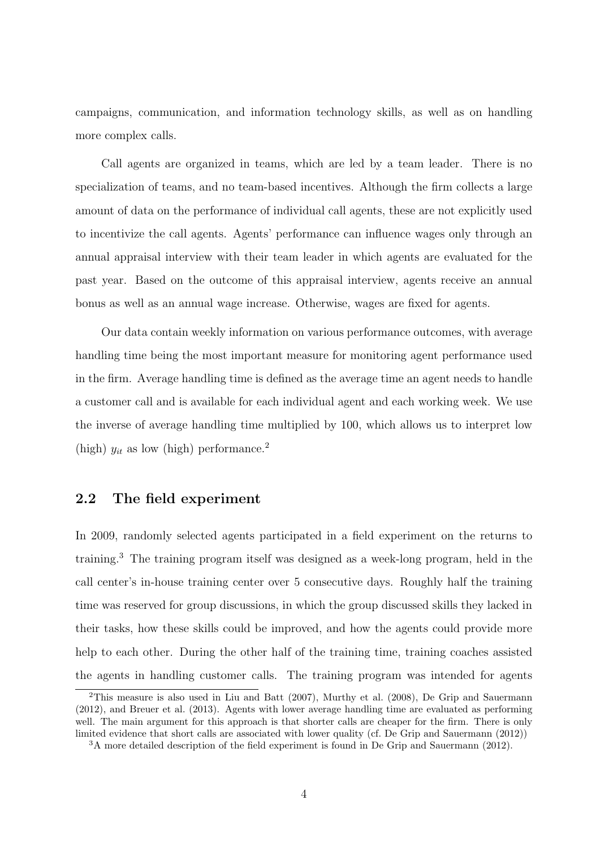campaigns, communication, and information technology skills, as well as on handling more complex calls.

Call agents are organized in teams, which are led by a team leader. There is no specialization of teams, and no team-based incentives. Although the firm collects a large amount of data on the performance of individual call agents, these are not explicitly used to incentivize the call agents. Agents' performance can influence wages only through an annual appraisal interview with their team leader in which agents are evaluated for the past year. Based on the outcome of this appraisal interview, agents receive an annual bonus as well as an annual wage increase. Otherwise, wages are fixed for agents.

Our data contain weekly information on various performance outcomes, with average handling time being the most important measure for monitoring agent performance used in the firm. Average handling time is defined as the average time an agent needs to handle a customer call and is available for each individual agent and each working week. We use the inverse of average handling time multiplied by 100, which allows us to interpret low (high)  $y_{it}$  as low (high) performance.<sup>2</sup>

#### 2.2 The field experiment

In 2009, randomly selected agents participated in a field experiment on the returns to training.<sup>3</sup> The training program itself was designed as a week-long program, held in the call center's in-house training center over 5 consecutive days. Roughly half the training time was reserved for group discussions, in which the group discussed skills they lacked in their tasks, how these skills could be improved, and how the agents could provide more help to each other. During the other half of the training time, training coaches assisted the agents in handling customer calls. The training program was intended for agents

<sup>2</sup>This measure is also used in Liu and Batt (2007), Murthy et al. (2008), De Grip and Sauermann (2012), and Breuer et al. (2013). Agents with lower average handling time are evaluated as performing well. The main argument for this approach is that shorter calls are cheaper for the firm. There is only limited evidence that short calls are associated with lower quality (cf. De Grip and Sauermann (2012))

<sup>&</sup>lt;sup>3</sup>A more detailed description of the field experiment is found in De Grip and Sauermann (2012).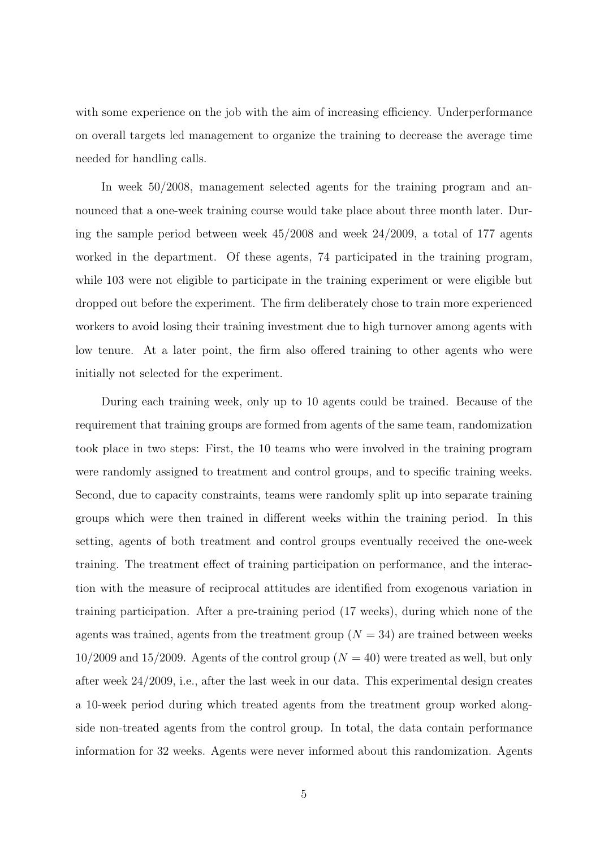with some experience on the job with the aim of increasing efficiency. Underperformance on overall targets led management to organize the training to decrease the average time needed for handling calls.

In week 50/2008, management selected agents for the training program and announced that a one-week training course would take place about three month later. During the sample period between week  $45/2008$  and week  $24/2009$ , a total of 177 agents worked in the department. Of these agents, 74 participated in the training program, while 103 were not eligible to participate in the training experiment or were eligible but dropped out before the experiment. The firm deliberately chose to train more experienced workers to avoid losing their training investment due to high turnover among agents with low tenure. At a later point, the firm also offered training to other agents who were initially not selected for the experiment.

During each training week, only up to 10 agents could be trained. Because of the requirement that training groups are formed from agents of the same team, randomization took place in two steps: First, the 10 teams who were involved in the training program were randomly assigned to treatment and control groups, and to specific training weeks. Second, due to capacity constraints, teams were randomly split up into separate training groups which were then trained in different weeks within the training period. In this setting, agents of both treatment and control groups eventually received the one-week training. The treatment effect of training participation on performance, and the interaction with the measure of reciprocal attitudes are identified from exogenous variation in training participation. After a pre-training period (17 weeks), during which none of the agents was trained, agents from the treatment group  $(N = 34)$  are trained between weeks  $10/2009$  and  $15/2009$ . Agents of the control group  $(N = 40)$  were treated as well, but only after week 24/2009, i.e., after the last week in our data. This experimental design creates a 10-week period during which treated agents from the treatment group worked alongside non-treated agents from the control group. In total, the data contain performance information for 32 weeks. Agents were never informed about this randomization. Agents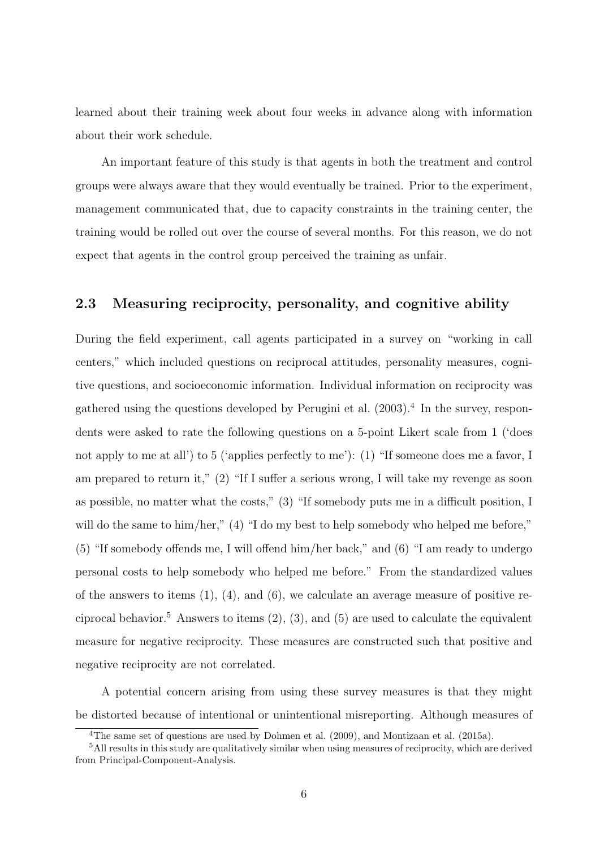learned about their training week about four weeks in advance along with information about their work schedule.

An important feature of this study is that agents in both the treatment and control groups were always aware that they would eventually be trained. Prior to the experiment, management communicated that, due to capacity constraints in the training center, the training would be rolled out over the course of several months. For this reason, we do not expect that agents in the control group perceived the training as unfair.

#### 2.3 Measuring reciprocity, personality, and cognitive ability

During the field experiment, call agents participated in a survey on "working in call centers," which included questions on reciprocal attitudes, personality measures, cognitive questions, and socioeconomic information. Individual information on reciprocity was gathered using the questions developed by Perugini et al.  $(2003)^4$  In the survey, respondents were asked to rate the following questions on a 5-point Likert scale from 1 ('does not apply to me at all') to 5 ('applies perfectly to me'): (1) "If someone does me a favor, I am prepared to return it,"  $(2)$  "If I suffer a serious wrong, I will take my revenge as soon as possible, no matter what the costs,"  $(3)$  "If somebody puts me in a difficult position, I will do the same to him/her," (4) "I do my best to help somebody who helped me before,"  $(5)$  "If somebody offends me, I will offend him/her back," and  $(6)$  "I am ready to undergo personal costs to help somebody who helped me before." From the standardized values of the answers to items  $(1)$ ,  $(4)$ , and  $(6)$ , we calculate an average measure of positive reciprocal behavior.<sup>5</sup> Answers to items  $(2)$ ,  $(3)$ , and  $(5)$  are used to calculate the equivalent measure for negative reciprocity. These measures are constructed such that positive and negative reciprocity are not correlated.

A potential concern arising from using these survey measures is that they might be distorted because of intentional or unintentional misreporting. Although measures of

<sup>4</sup>The same set of questions are used by Dohmen et al. (2009), and Montizaan et al. (2015a).

<sup>5</sup>All results in this study are qualitatively similar when using measures of reciprocity, which are derived from Principal-Component-Analysis.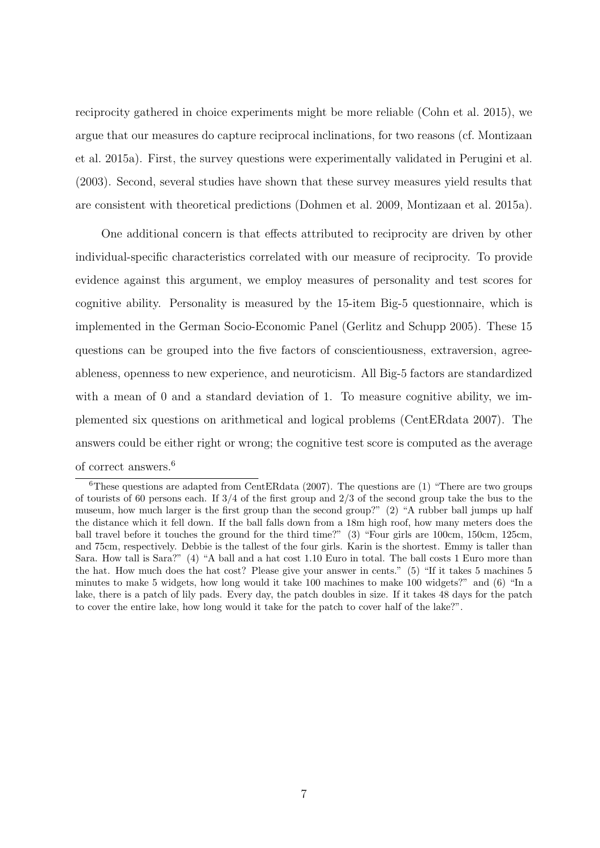reciprocity gathered in choice experiments might be more reliable (Cohn et al. 2015), we argue that our measures do capture reciprocal inclinations, for two reasons (cf. Montizaan et al. 2015a). First, the survey questions were experimentally validated in Perugini et al. (2003). Second, several studies have shown that these survey measures yield results that are consistent with theoretical predictions (Dohmen et al. 2009, Montizaan et al. 2015a).

One additional concern is that effects attributed to reciprocity are driven by other individual-specific characteristics correlated with our measure of reciprocity. To provide evidence against this argument, we employ measures of personality and test scores for cognitive ability. Personality is measured by the 15-item Big-5 questionnaire, which is implemented in the German Socio-Economic Panel (Gerlitz and Schupp 2005). These 15 questions can be grouped into the five factors of conscientiousness, extraversion, agreeableness, openness to new experience, and neuroticism. All Big-5 factors are standardized with a mean of 0 and a standard deviation of 1. To measure cognitive ability, we implemented six questions on arithmetical and logical problems (CentERdata 2007). The answers could be either right or wrong; the cognitive test score is computed as the average of correct answers.<sup>6</sup>

 ${}^{6}$ These questions are adapted from CentERdata (2007). The questions are (1) "There are two groups of tourists of 60 persons each. If  $3/4$  of the first group and  $2/3$  of the second group take the bus to the museum, how much larger is the first group than the second group?" (2) "A rubber ball jumps up half the distance which it fell down. If the ball falls down from a 18m high roof, how many meters does the ball travel before it touches the ground for the third time?" (3) "Four girls are 100cm, 150cm, 125cm, and 75cm, respectively. Debbie is the tallest of the four girls. Karin is the shortest. Emmy is taller than Sara. How tall is Sara?" (4) "A ball and a hat cost 1.10 Euro in total. The ball costs 1 Euro more than the hat. How much does the hat cost? Please give your answer in cents." (5) "If it takes 5 machines 5 minutes to make 5 widgets, how long would it take 100 machines to make 100 widgets?" and (6) "In a lake, there is a patch of lily pads. Every day, the patch doubles in size. If it takes 48 days for the patch to cover the entire lake, how long would it take for the patch to cover half of the lake?".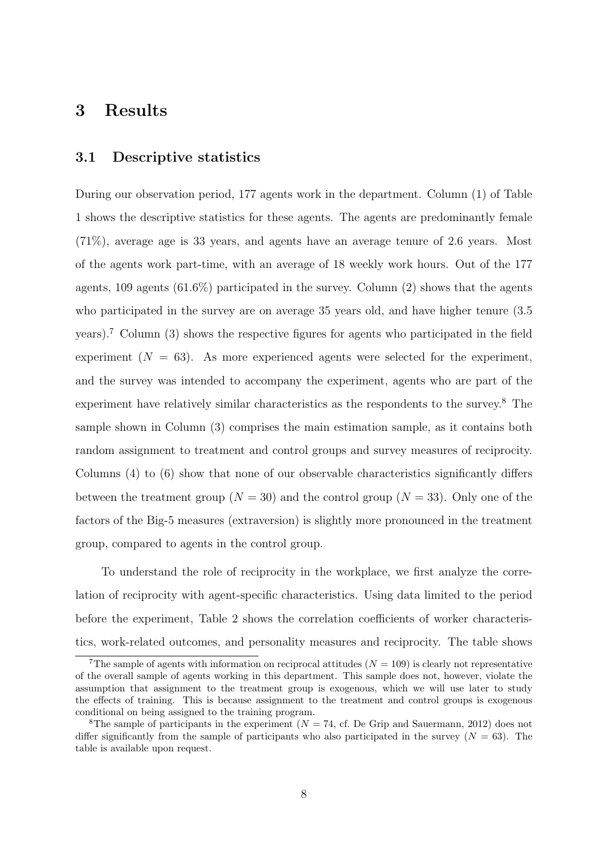## 3 Results

#### 3.1 Descriptive statistics

During our observation period, 177 agents work in the department. Column (1) of Table 1 shows the descriptive statistics for these agents. The agents are predominantly female (71%), average age is 33 years, and agents have an average tenure of 2.6 years. Most of the agents work part-time, with an average of 18 weekly work hours. Out of the 177 agents, 109 agents (61.6%) participated in the survey. Column (2) shows that the agents who participated in the survey are on average 35 years old, and have higher tenure (3.5 years).<sup>7</sup> Column (3) shows the respective figures for agents who participated in the field experiment  $(N = 63)$ . As more experienced agents were selected for the experiment, and the survey was intended to accompany the experiment, agents who are part of the experiment have relatively similar characteristics as the respondents to the survey.<sup>8</sup> The sample shown in Column (3) comprises the main estimation sample, as it contains both random assignment to treatment and control groups and survey measures of reciprocity. Columns  $(4)$  to  $(6)$  show that none of our observable characteristics significantly differs between the treatment group ( $N = 30$ ) and the control group ( $N = 33$ ). Only one of the factors of the Big-5 measures (extraversion) is slightly more pronounced in the treatment group, compared to agents in the control group.

To understand the role of reciprocity in the workplace, we first analyze the correlation of reciprocity with agent-specific characteristics. Using data limited to the period before the experiment, Table 2 shows the correlation coefficients of worker characteristics, work-related outcomes, and personality measures and reciprocity. The table shows

<sup>&</sup>lt;sup>7</sup>The sample of agents with information on reciprocal attitudes  $(N = 109)$  is clearly not representative of the overall sample of agents working in this department. This sample does not, however, violate the assumption that assignment to the treatment group is exogenous, which we will use later to study the effects of training. This is because assignment to the treatment and control groups is exogenous conditional on being assigned to the training program.

<sup>&</sup>lt;sup>8</sup>The sample of participants in the experiment ( $N = 74$ , cf. De Grip and Sauermann, 2012) does not differ significantly from the sample of participants who also participated in the survey  $(N = 63)$ . The table is available upon request.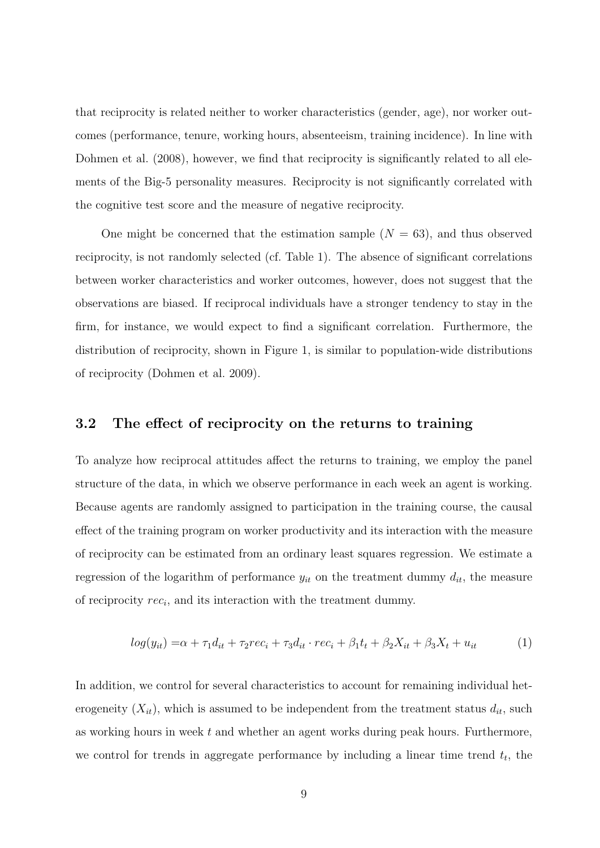that reciprocity is related neither to worker characteristics (gender, age), nor worker outcomes (performance, tenure, working hours, absenteeism, training incidence). In line with Dohmen et al. (2008), however, we find that reciprocity is significantly related to all elements of the Big-5 personality measures. Reciprocity is not significantly correlated with the cognitive test score and the measure of negative reciprocity.

One might be concerned that the estimation sample  $(N = 63)$ , and thus observed reciprocity, is not randomly selected (cf. Table 1). The absence of significant correlations between worker characteristics and worker outcomes, however, does not suggest that the observations are biased. If reciprocal individuals have a stronger tendency to stay in the firm, for instance, we would expect to find a significant correlation. Furthermore, the distribution of reciprocity, shown in Figure 1, is similar to population-wide distributions of reciprocity (Dohmen et al. 2009).

#### 3.2 The effect of reciprocity on the returns to training

To analyze how reciprocal attitudes affect the returns to training, we employ the panel structure of the data, in which we observe performance in each week an agent is working. Because agents are randomly assigned to participation in the training course, the causal effect of the training program on worker productivity and its interaction with the measure of reciprocity can be estimated from an ordinary least squares regression. We estimate a regression of the logarithm of performance  $y_{it}$  on the treatment dummy  $d_{it}$ , the measure of reciprocity *reci*, and its interaction with the treatment dummy.

$$
log(y_{it}) = \alpha + \tau_1 d_{it} + \tau_2 rec_i + \tau_3 d_{it} \cdot rec_i + \beta_1 t_t + \beta_2 X_{it} + \beta_3 X_t + u_{it} \tag{1}
$$

In addition, we control for several characteristics to account for remaining individual heterogeneity  $(X_{it})$ , which is assumed to be independent from the treatment status  $d_{it}$ , such as working hours in week *t* and whether an agent works during peak hours. Furthermore, we control for trends in aggregate performance by including a linear time trend *tt*, the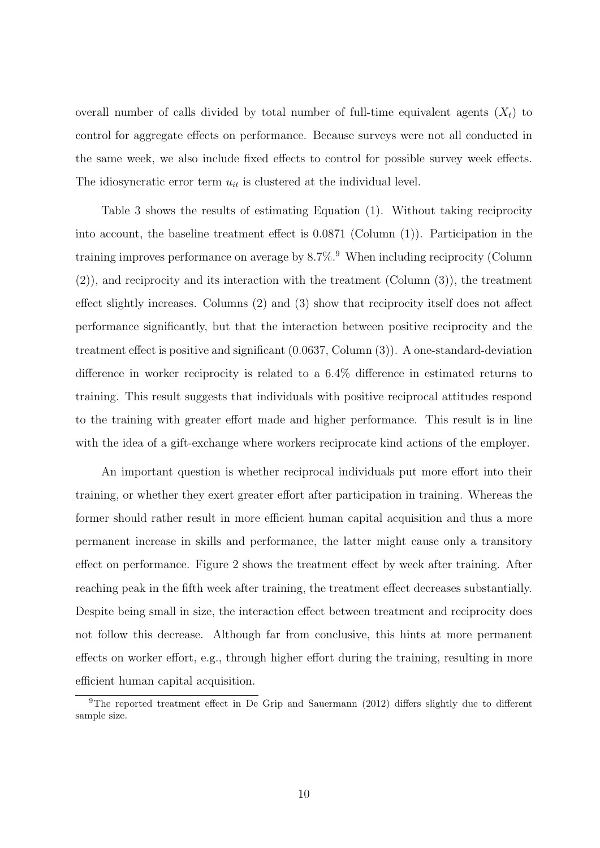overall number of calls divided by total number of full-time equivalent agents  $(X_t)$  to control for aggregate effects on performance. Because surveys were not all conducted in the same week, we also include fixed effects to control for possible survey week effects. The idiosyncratic error term  $u_{it}$  is clustered at the individual level.

Table 3 shows the results of estimating Equation (1). Without taking reciprocity into account, the baseline treatment effect is  $0.0871$  (Column  $(1)$ ). Participation in the training improves performance on average by  $8.7\%$ .<sup>9</sup> When including reciprocity (Column (2)), and reciprocity and its interaction with the treatment (Column (3)), the treatment effect slightly increases. Columns  $(2)$  and  $(3)$  show that reciprocity itself does not affect performance significantly, but that the interaction between positive reciprocity and the treatment effect is positive and significant  $(0.0637, \text{Column } (3))$ . A one-standard-deviation difference in worker reciprocity is related to a  $6.4\%$  difference in estimated returns to training. This result suggests that individuals with positive reciprocal attitudes respond to the training with greater effort made and higher performance. This result is in line with the idea of a gift-exchange where workers reciprocate kind actions of the employer.

An important question is whether reciprocal individuals put more effort into their training, or whether they exert greater effort after participation in training. Whereas the former should rather result in more efficient human capital acquisition and thus a more permanent increase in skills and performance, the latter might cause only a transitory effect on performance. Figure 2 shows the treatment effect by week after training. After reaching peak in the fifth week after training, the treatment effect decreases substantially. Despite being small in size, the interaction effect between treatment and reciprocity does not follow this decrease. Although far from conclusive, this hints at more permanent effects on worker effort, e.g., through higher effort during the training, resulting in more efficient human capital acquisition.

<sup>&</sup>lt;sup>9</sup>The reported treatment effect in De Grip and Sauermann (2012) differs slightly due to different sample size.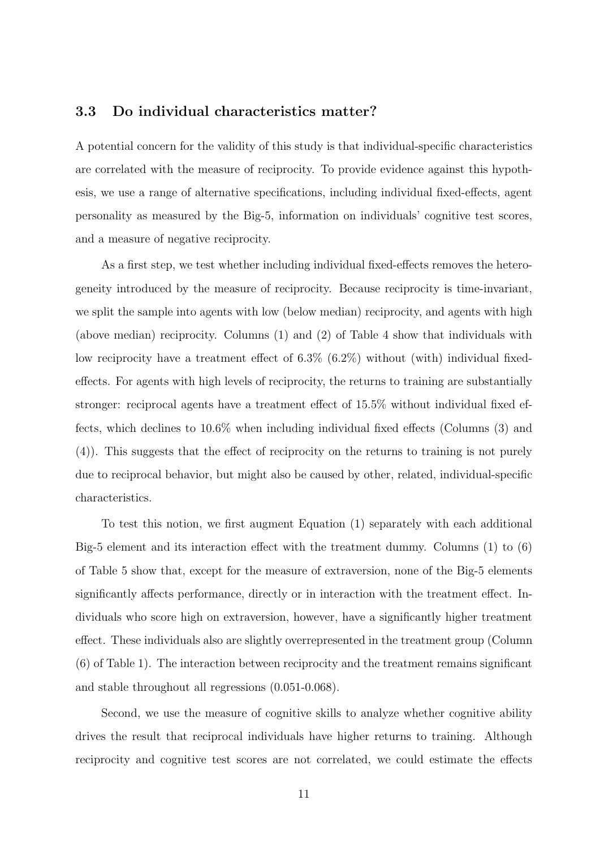#### 3.3 Do individual characteristics matter?

A potential concern for the validity of this study is that individual-specific characteristics are correlated with the measure of reciprocity. To provide evidence against this hypothesis, we use a range of alternative specifications, including individual fixed-effects, agent personality as measured by the Big-5, information on individuals' cognitive test scores, and a measure of negative reciprocity.

As a first step, we test whether including individual fixed-effects removes the heterogeneity introduced by the measure of reciprocity. Because reciprocity is time-invariant, we split the sample into agents with low (below median) reciprocity, and agents with high (above median) reciprocity. Columns (1) and (2) of Table 4 show that individuals with low reciprocity have a treatment effect of  $6.3\%$   $(6.2\%)$  without (with) individual fixedeffects. For agents with high levels of reciprocity, the returns to training are substantially stronger: reciprocal agents have a treatment effect of  $15.5\%$  without individual fixed effects, which declines to  $10.6\%$  when including individual fixed effects (Columns  $(3)$ ) and  $(4)$ ). This suggests that the effect of reciprocity on the returns to training is not purely due to reciprocal behavior, but might also be caused by other, related, individual-specific characteristics.

To test this notion, we first augment Equation (1) separately with each additional Big-5 element and its interaction effect with the treatment dummy. Columns  $(1)$  to  $(6)$ of Table 5 show that, except for the measure of extraversion, none of the Big-5 elements significantly affects performance, directly or in interaction with the treatment effect. Individuals who score high on extraversion, however, have a significantly higher treatment effect. These individuals also are slightly overrepresented in the treatment group (Column (6) of Table 1). The interaction between reciprocity and the treatment remains significant and stable throughout all regressions (0.051-0.068).

Second, we use the measure of cognitive skills to analyze whether cognitive ability drives the result that reciprocal individuals have higher returns to training. Although reciprocity and cognitive test scores are not correlated, we could estimate the effects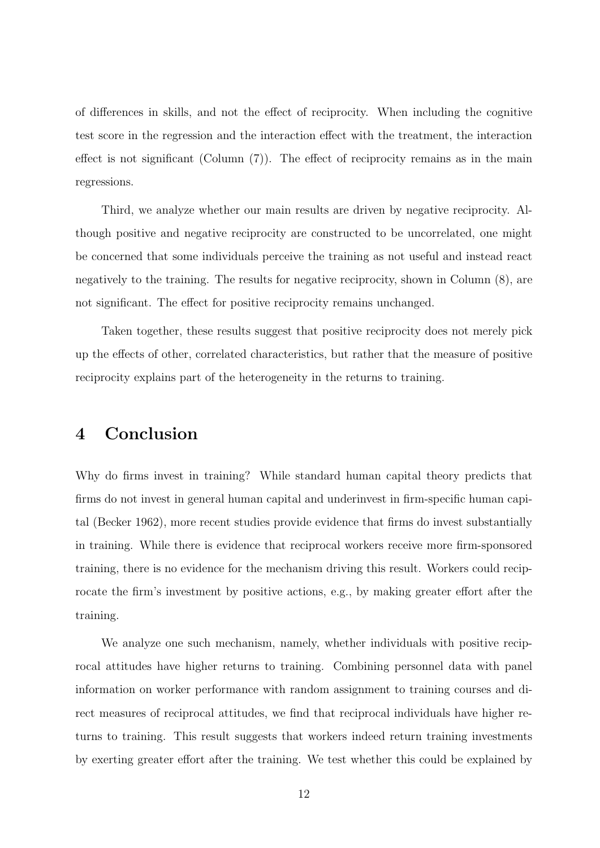of differences in skills, and not the effect of reciprocity. When including the cognitive test score in the regression and the interaction effect with the treatment, the interaction effect is not significant (Column  $(7)$ ). The effect of reciprocity remains as in the main regressions.

Third, we analyze whether our main results are driven by negative reciprocity. Although positive and negative reciprocity are constructed to be uncorrelated, one might be concerned that some individuals perceive the training as not useful and instead react negatively to the training. The results for negative reciprocity, shown in Column (8), are not significant. The effect for positive reciprocity remains unchanged.

Taken together, these results suggest that positive reciprocity does not merely pick up the effects of other, correlated characteristics, but rather that the measure of positive reciprocity explains part of the heterogeneity in the returns to training.

### 4 Conclusion

Why do firms invest in training? While standard human capital theory predicts that firms do not invest in general human capital and underinvest in firm-specific human capital (Becker 1962), more recent studies provide evidence that firms do invest substantially in training. While there is evidence that reciprocal workers receive more firm-sponsored training, there is no evidence for the mechanism driving this result. Workers could reciprocate the firm's investment by positive actions, e.g., by making greater effort after the training.

We analyze one such mechanism, namely, whether individuals with positive reciprocal attitudes have higher returns to training. Combining personnel data with panel information on worker performance with random assignment to training courses and direct measures of reciprocal attitudes, we find that reciprocal individuals have higher returns to training. This result suggests that workers indeed return training investments by exerting greater effort after the training. We test whether this could be explained by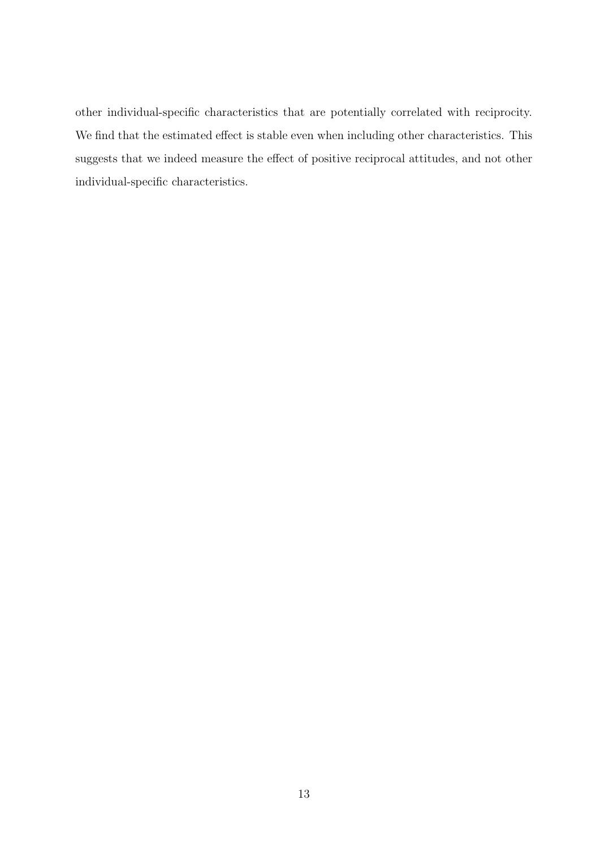other individual-specific characteristics that are potentially correlated with reciprocity. We find that the estimated effect is stable even when including other characteristics. This suggests that we indeed measure the effect of positive reciprocal attitudes, and not other individual-specific characteristics.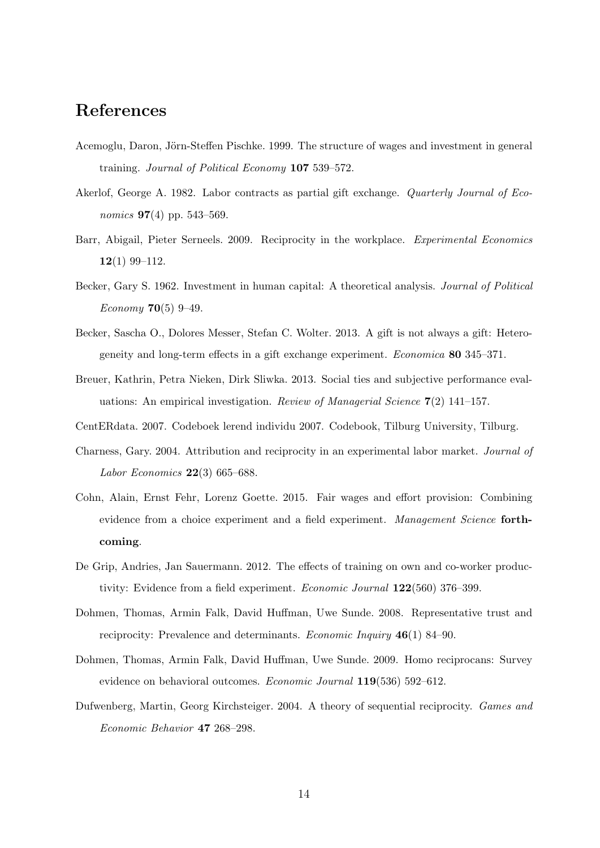# References

- Acemoglu, Daron, Jörn-Steffen Pischke. 1999. The structure of wages and investment in general training. *Journal of Political Economy* 107 539–572.
- Akerlof, George A. 1982. Labor contracts as partial gift exchange. *Quarterly Journal of Economics* 97(4) pp. 543–569.
- Barr, Abigail, Pieter Serneels. 2009. Reciprocity in the workplace. *Experimental Economics* 12(1) 99–112.
- Becker, Gary S. 1962. Investment in human capital: A theoretical analysis. *Journal of Political Economy* 70(5) 9–49.
- Becker, Sascha O., Dolores Messer, Stefan C. Wolter. 2013. A gift is not always a gift: Heterogeneity and long-term effects in a gift exchange experiment. *Economica* 80 345–371.
- Breuer, Kathrin, Petra Nieken, Dirk Sliwka. 2013. Social ties and subjective performance evaluations: An empirical investigation. *Review of Managerial Science* 7(2) 141–157.
- CentERdata. 2007. Codeboek lerend individu 2007. Codebook, Tilburg University, Tilburg.
- Charness, Gary. 2004. Attribution and reciprocity in an experimental labor market. *Journal of Labor Economics* 22(3) 665–688.
- Cohn, Alain, Ernst Fehr, Lorenz Goette. 2015. Fair wages and effort provision: Combining evidence from a choice experiment and a field experiment. *Management Science* forthcoming.
- De Grip, Andries, Jan Sauermann. 2012. The effects of training on own and co-worker productivity: Evidence from a field experiment. *Economic Journal* 122(560) 376–399.
- Dohmen, Thomas, Armin Falk, David Huffman, Uwe Sunde. 2008. Representative trust and reciprocity: Prevalence and determinants. *Economic Inquiry* 46(1) 84–90.
- Dohmen, Thomas, Armin Falk, David Huffman, Uwe Sunde. 2009. Homo reciprocans: Survey evidence on behavioral outcomes. *Economic Journal* 119(536) 592–612.
- Dufwenberg, Martin, Georg Kirchsteiger. 2004. A theory of sequential reciprocity. *Games and Economic Behavior* 47 268–298.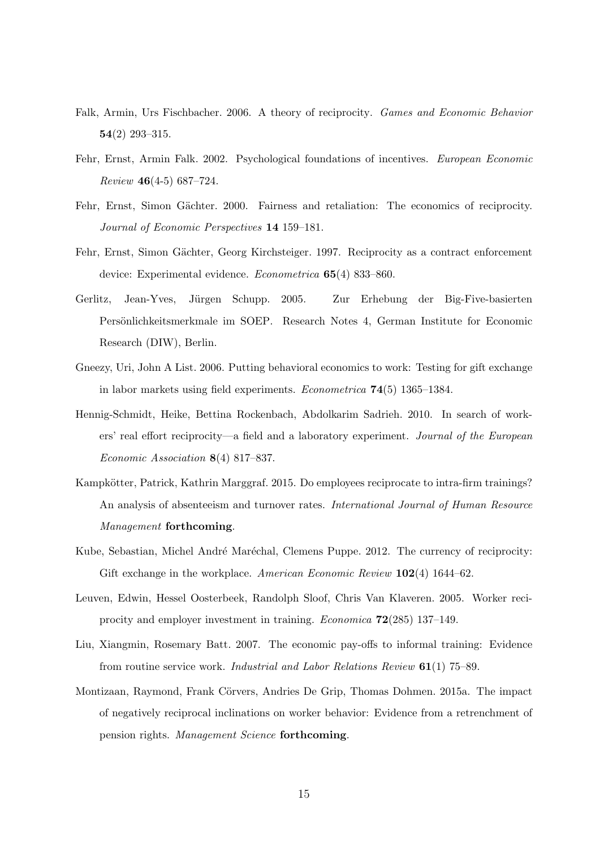- Falk, Armin, Urs Fischbacher. 2006. A theory of reciprocity. *Games and Economic Behavior*  $54(2)$  293-315.
- Fehr, Ernst, Armin Falk. 2002. Psychological foundations of incentives. *European Economic Review* 46(4-5) 687–724.
- Fehr, Ernst, Simon Gächter. 2000. Fairness and retaliation: The economics of reciprocity. *Journal of Economic Perspectives* 14 159–181.
- Fehr, Ernst, Simon Gächter, Georg Kirchsteiger. 1997. Reciprocity as a contract enforcement device: Experimental evidence. *Econometrica* 65(4) 833–860.
- Gerlitz, Jean-Yves, Jürgen Schupp. 2005. Zur Erhebung der Big-Five-basierten Persönlichkeitsmerkmale im SOEP. Research Notes 4, German Institute for Economic Research (DIW), Berlin.
- Gneezy, Uri, John A List. 2006. Putting behavioral economics to work: Testing for gift exchange in labor markets using field experiments. *Econometrica* 74(5) 1365–1384.
- Hennig-Schmidt, Heike, Bettina Rockenbach, Abdolkarim Sadrieh. 2010. In search of workers' real effort reciprocity—a field and a laboratory experiment. *Journal of the European Economic Association* 8(4) 817–837.
- Kampkötter, Patrick, Kathrin Marggraf. 2015. Do employees reciprocate to intra-firm trainings? An analysis of absenteeism and turnover rates. *International Journal of Human Resource Management* forthcoming.
- Kube, Sebastian, Michel André Maréchal, Clemens Puppe. 2012. The currency of reciprocity: Gift exchange in the workplace. *American Economic Review* 102(4) 1644–62.
- Leuven, Edwin, Hessel Oosterbeek, Randolph Sloof, Chris Van Klaveren. 2005. Worker reciprocity and employer investment in training. *Economica* 72(285) 137–149.
- Liu, Xiangmin, Rosemary Batt. 2007. The economic pay-offs to informal training: Evidence from routine service work. *Industrial and Labor Relations Review* 61(1) 75–89.
- Montizaan, Raymond, Frank Cörvers, Andries De Grip, Thomas Dohmen. 2015a. The impact of negatively reciprocal inclinations on worker behavior: Evidence from a retrenchment of pension rights. *Management Science* forthcoming.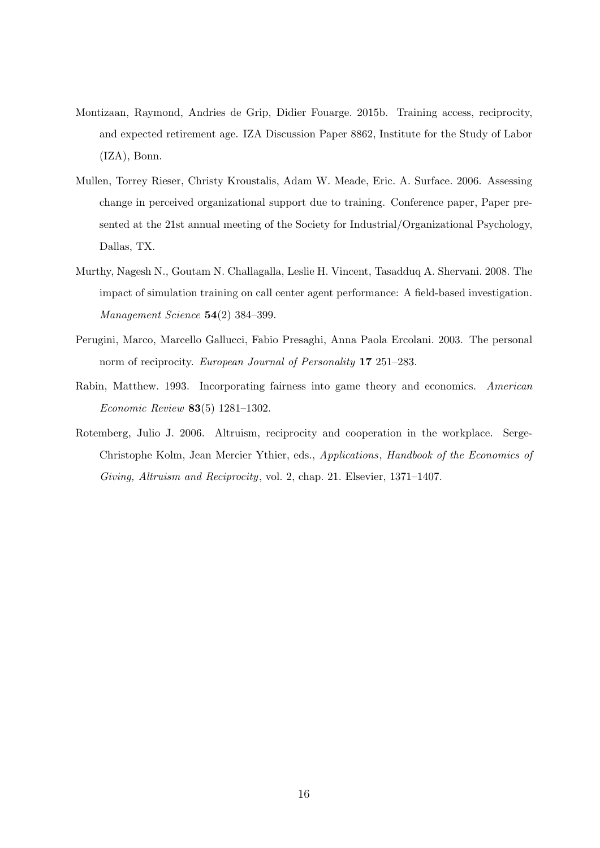- Montizaan, Raymond, Andries de Grip, Didier Fouarge. 2015b. Training access, reciprocity, and expected retirement age. IZA Discussion Paper 8862, Institute for the Study of Labor (IZA), Bonn.
- Mullen, Torrey Rieser, Christy Kroustalis, Adam W. Meade, Eric. A. Surface. 2006. Assessing change in perceived organizational support due to training. Conference paper, Paper presented at the 21st annual meeting of the Society for Industrial/Organizational Psychology, Dallas, TX.
- Murthy, Nagesh N., Goutam N. Challagalla, Leslie H. Vincent, Tasadduq A. Shervani. 2008. The impact of simulation training on call center agent performance: A field-based investigation. *Management Science* 54(2) 384–399.
- Perugini, Marco, Marcello Gallucci, Fabio Presaghi, Anna Paola Ercolani. 2003. The personal norm of reciprocity. *European Journal of Personality* 17 251–283.
- Rabin, Matthew. 1993. Incorporating fairness into game theory and economics. *American Economic Review* 83(5) 1281–1302.
- Rotemberg, Julio J. 2006. Altruism, reciprocity and cooperation in the workplace. Serge-Christophe Kolm, Jean Mercier Ythier, eds., *Applications*, *Handbook of the Economics of Giving, Altruism and Reciprocity*, vol. 2, chap. 21. Elsevier, 1371–1407.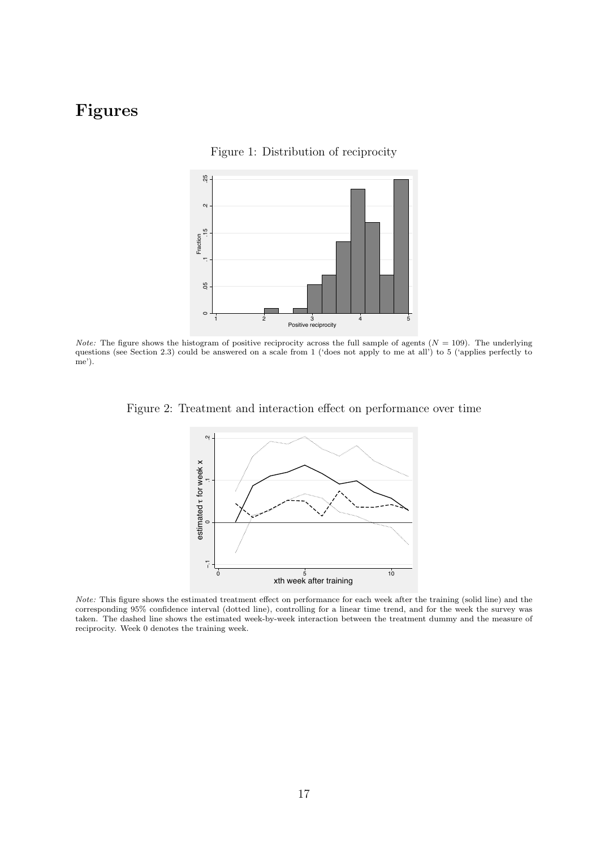# Figures





*Note:* The figure shows the histogram of positive reciprocity across the full sample of agents  $(N = 109)$ . The underlying questions (see Section 2.3) could be answered on a scale from 1 ('does not apply to me at all') to 5 ('applies perfectly to me').

Figure 2: Treatment and interaction effect on performance over time



*Note:* This figure shows the estimated treatment effect on performance for each week after the training (solid line) and the corresponding 95% confidence interval (dotted line), controlling for a linear time trend, and for the week the survey was taken. The dashed line shows the estimated week-by-week interaction between the treatment dummy and the measure of reciprocity. Week 0 denotes the training week.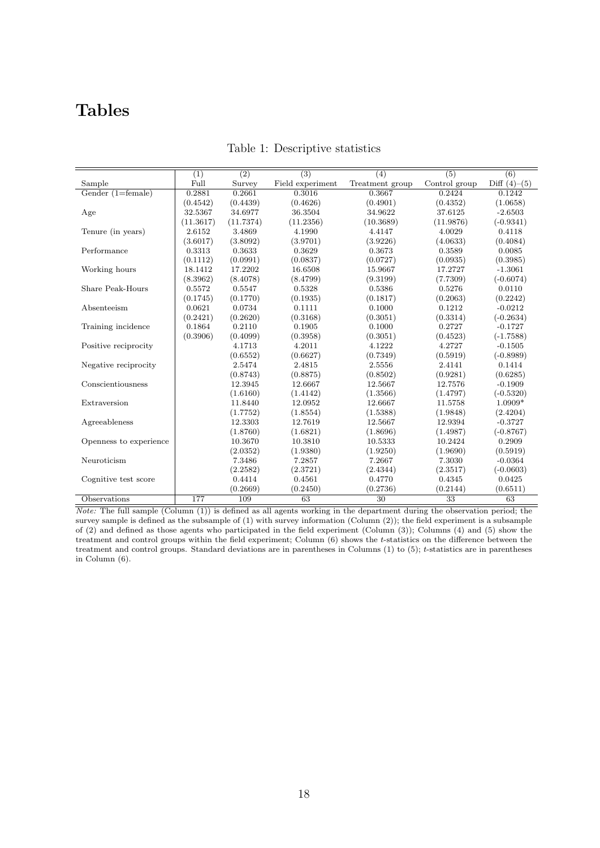# Tables

|                        | (1)       | (2)       | (3)              | (4)             | (5)             | (6)            |
|------------------------|-----------|-----------|------------------|-----------------|-----------------|----------------|
| Sample                 | Full      | Survey    | Field experiment | Treatment group | Control group   | Diff $(4)–(5)$ |
| Gender $(1=female)$    | 0.2881    | 0.2661    | 0.3016           | 0.3667          | 0.2424          | 0.1242         |
|                        | (0.4542)  | (0.4439)  | (0.4626)         | (0.4901)        | (0.4352)        | (1.0658)       |
| Age                    | 32.5367   | 34.6977   | 36.3504          | 34.9622         | 37.6125         | $-2.6503$      |
|                        | (11.3617) | (11.7374) | (11.2356)        | (10.3689)       | (11.9876)       | $(-0.9341)$    |
| Tenure (in years)      | 2.6152    | 3.4869    | 4.1990           | 4.4147          | 4.0029          | 0.4118         |
|                        | (3.6017)  | (3.8092)  | (3.9701)         | (3.9226)        | (4.0633)        | (0.4084)       |
| Performance            | 0.3313    | 0.3633    | 0.3629           | 0.3673          | 0.3589          | 0.0085         |
|                        | (0.1112)  | (0.0991)  | (0.0837)         | (0.0727)        | (0.0935)        | (0.3985)       |
| Working hours          | 18.1412   | 17.2202   | 16.6508          | 15.9667         | 17.2727         | $-1.3061$      |
|                        | (8.3962)  | (8.4078)  | (8.4799)         | (9.3199)        | (7.7309)        | $(-0.6074)$    |
| Share Peak-Hours       | 0.5572    | 0.5547    | 0.5328           | 0.5386          | 0.5276          | 0.0110         |
|                        | (0.1745)  | (0.1770)  | (0.1935)         | (0.1817)        | (0.2063)        | (0.2242)       |
| Absenteeism            | 0.0621    | 0.0734    | 0.1111           | 0.1000          | 0.1212          | $-0.0212$      |
|                        | (0.2421)  | (0.2620)  | (0.3168)         | (0.3051)        | (0.3314)        | $(-0.2634)$    |
| Training incidence     | 0.1864    | 0.2110    | 0.1905           | 0.1000          | 0.2727          | $-0.1727$      |
|                        | (0.3906)  | (0.4099)  | (0.3958)         | (0.3051)        | (0.4523)        | $(-1.7588)$    |
| Positive reciprocity   |           | 4.1713    | 4.2011           | 4.1222          | 4.2727          | $-0.1505$      |
|                        |           | (0.6552)  | (0.6627)         | (0.7349)        | (0.5919)        | $(-0.8989)$    |
| Negative reciprocity   |           | 2.5474    | 2.4815           | 2.5556          | 2.4141          | 0.1414         |
|                        |           | (0.8743)  | (0.8875)         | (0.8502)        | (0.9281)        | (0.6285)       |
| Conscientiousness      |           | 12.3945   | 12.6667          | 12.5667         | 12.7576         | $-0.1909$      |
|                        |           | (1.6160)  | (1.4142)         | (1.3566)        | (1.4797)        | $(-0.5320)$    |
| Extraversion           |           | 11.8440   | 12.0952          | 12.6667         | 11.5758         | $1.0909*$      |
|                        |           | (1.7752)  | (1.8554)         | (1.5388)        | (1.9848)        | (2.4204)       |
| Agreeableness          |           | 12.3303   | 12.7619          | 12.5667         | 12.9394         | $-0.3727$      |
|                        |           | (1.8760)  | (1.6821)         | (1.8696)        | (1.4987)        | $(-0.8767)$    |
| Openness to experience |           | 10.3670   | 10.3810          | 10.5333         | 10.2424         | 0.2909         |
|                        |           | (2.0352)  | (1.9380)         | (1.9250)        | (1.9690)        | (0.5919)       |
| Neuroticism            |           | 7.3486    | 7.2857           | 7.2667          | 7.3030          | $-0.0364$      |
|                        |           | (2.2582)  | (2.3721)         | (2.4344)        | (2.3517)        | $(-0.0603)$    |
| Cognitive test score   |           | 0.4414    | 0.4561           | 0.4770          | 0.4345          | 0.0425         |
|                        |           | (0.2669)  | (0.2450)         | (0.2736)        | (0.2144)        | (0.6511)       |
| Observations           | 177       | 109       | 63               | 30              | $\overline{33}$ | 63             |

Table 1: Descriptive statistics

*Note:* The full sample (Column (1)) is defined as all agents working in the department during the observation period; the survey sample is defined as the subsample of (1) with survey information (Column (2)); the field experiment is a subsample of (2) and defined as those agents who participated in the field experiment (Column (3)); Columns (4) and (5) show the treatment and control groups within the field experiment; Column (6) shows the *t*-statistics on the difference between the treatment and control groups. Standard deviations are in parentheses in Columns (1) to (5); *t*-statistics are in parentheses in Column (6).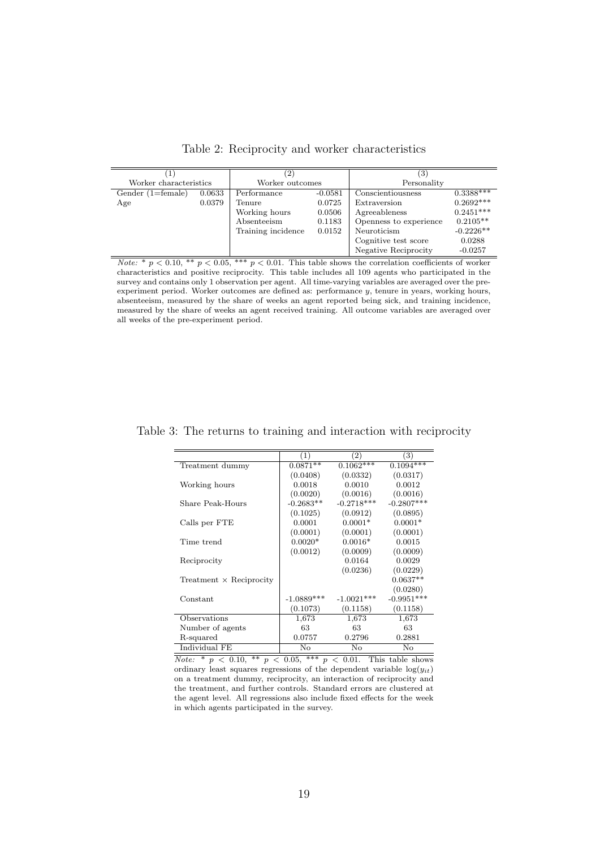|                        |        | $\left( 2\right)$  |           | $\left(3\right)$       |             |
|------------------------|--------|--------------------|-----------|------------------------|-------------|
| Worker characteristics |        | Worker outcomes    |           | Personality            |             |
| Gender $(1=female)$    | 0.0633 | Performance        | $-0.0581$ | Conscientiousness      | $0.3388***$ |
| Age                    | 0.0379 | Tenure             | 0.0725    | Extraversion           | $0.2692***$ |
|                        |        | Working hours      | 0.0506    | Agreeableness          | $0.2451***$ |
|                        |        | Absenteeism        | 0.1183    | Openness to experience | $0.2105**$  |
|                        |        | Training incidence | 0.0152    | Neuroticism            | $-0.2226**$ |
|                        |        |                    |           | Cognitive test score   | 0.0288      |
|                        |        |                    |           | Negative Reciprocity   | $-0.0257$   |

Table 2: Reciprocity and worker characteristics

|                                | (1)          | (2)          | 3)           |
|--------------------------------|--------------|--------------|--------------|
| Treatment dummy                | $0.0871**$   | $0.1062***$  | $0.1094***$  |
|                                | (0.0408)     | (0.0332)     | (0.0317)     |
| Working hours                  | 0.0018       | 0.0010       | 0.0012       |
|                                | (0.0020)     | (0.0016)     | (0.0016)     |
| Share Peak-Hours               | $-0.2683**$  | $-0.2718***$ | $-0.2807***$ |
|                                | (0.1025)     | (0.0912)     | (0.0895)     |
| Calls per FTE                  | 0.0001       | $0.0001*$    | $0.0001*$    |
|                                | (0.0001)     | (0.0001)     | (0.0001)     |
| Time trend                     | $0.0020*$    | $0.0016*$    | 0.0015       |
|                                | (0.0012)     | (0.0009)     | (0.0009)     |
| Reciprocity                    |              | 0.0164       | 0.0029       |
|                                |              | (0.0236)     | (0.0229)     |
| Treatment $\times$ Reciprocity |              |              | $0.0637**$   |
|                                |              |              | (0.0280)     |
| Constant                       | $-1.0889***$ | $-1.0021***$ | $-0.9951***$ |
|                                | (0.1073)     | (0.1158)     | (0.1158)     |
| Observations                   | 1,673        | 1,673        | 1,673        |
| Number of agents               | 63           | 63           | 63           |
| R-squared                      | 0.0757       | 0.2796       | 0.2881       |
| Individual FE                  | No           | No           | No           |

Table 3: The returns to training and interaction with reciprocity

 $\sqrt{\text{Note: } * p \leq 0.10, ** p \leq 0.05, ** p \leq 0.01}.$  This table shows ordinary least squares regressions of the dependent variable  $log(y_{it})$ on a treatment dummy, reciprocity, an interaction of reciprocity and the treatment, and further controls. Standard errors are clustered at the agent level. All regressions also include fixed effects for the week in which agents participated in the survey.

*Note:*  $*$  *p* < 0.10,  $**$  *p* < 0.05,  $**$  *p* < 0.01. This table shows the correlation coefficients of worker characteristics and positive reciprocity. This table includes all 109 agents who participated in the survey and contains only 1 observation per agent. All time-varying variables are averaged over the preexperiment period. Worker outcomes are defined as: performance *y*, tenure in years, working hours, absenteeism, measured by the share of weeks an agent reported being sick, and training incidence, measured by the share of weeks an agent received training. All outcome variables are averaged over all weeks of the pre-experiment period.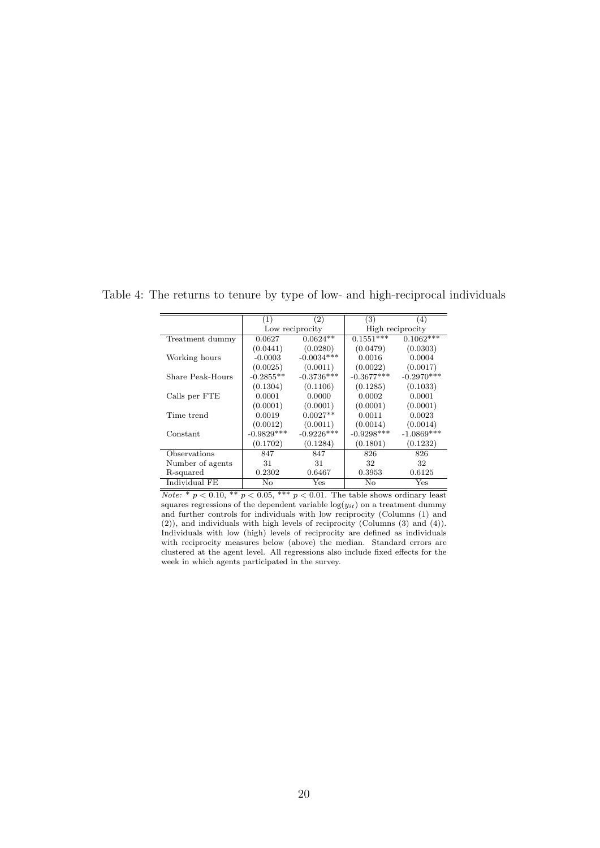|                  | (1)          | $^{\prime}2)$   | (3)          | (4)              |
|------------------|--------------|-----------------|--------------|------------------|
|                  |              | Low reciprocity |              | High reciprocity |
| Treatment dummy  | 0.0627       | $0.0624**$      | $0.1551***$  | $0.1062***$      |
|                  | (0.0441)     | (0.0280)        | (0.0479)     | (0.0303)         |
| Working hours    | $-0.0003$    | $-0.0034***$    | 0.0016       | 0.0004           |
|                  | (0.0025)     | (0.0011)        | (0.0022)     | (0.0017)         |
| Share Peak-Hours | $-0.2855**$  | $-0.3736***$    | $-0.3677***$ | $-0.2970***$     |
|                  | (0.1304)     | (0.1106)        | (0.1285)     | (0.1033)         |
| Calls per FTE    | 0.0001       | 0.0000          | 0.0002       | 0.0001           |
|                  | (0.0001)     | (0.0001)        | (0.0001)     | (0.0001)         |
| Time trend       | 0.0019       | $0.0027**$      | 0.0011       | 0.0023           |
|                  | (0.0012)     | (0.0011)        | (0.0014)     | (0.0014)         |
| Constant         | $-0.9829***$ | $-0.9226***$    | $-0.9298***$ | $-1.0869***$     |
|                  | (0.1702)     | (0.1284)        | (0.1801)     | (0.1232)         |
| Observations     | 847          | 847             | 826          | 826              |
| Number of agents | 31           | 31              | 32           | 32               |
| R-squared        | 0.2302       | 0.6467          | 0.3953       | 0.6125           |
| Individual FE    | Nο           | Yes             | No           | Yes              |

Table 4: The returns to tenure by type of low- and high-reciprocal individuals

*Note:*  $*$   $p < 0.10$ ,  $**$   $p < 0.05$ ,  $***$   $p < 0.01$ . The table shows ordinary least squares regressions of the dependent variable  $log(y_{it})$  on a treatment dummy and further controls for individuals with low reciprocity (Columns (1) and (2)), and individuals with high levels of reciprocity (Columns (3) and (4)). Individuals with low (high) levels of reciprocity are defined as individuals with reciprocity measures below (above) the median. Standard errors are  $\alpha$  clustered at the agent level. All regressions also include fixed effects for the week in which agents participated in the survey.